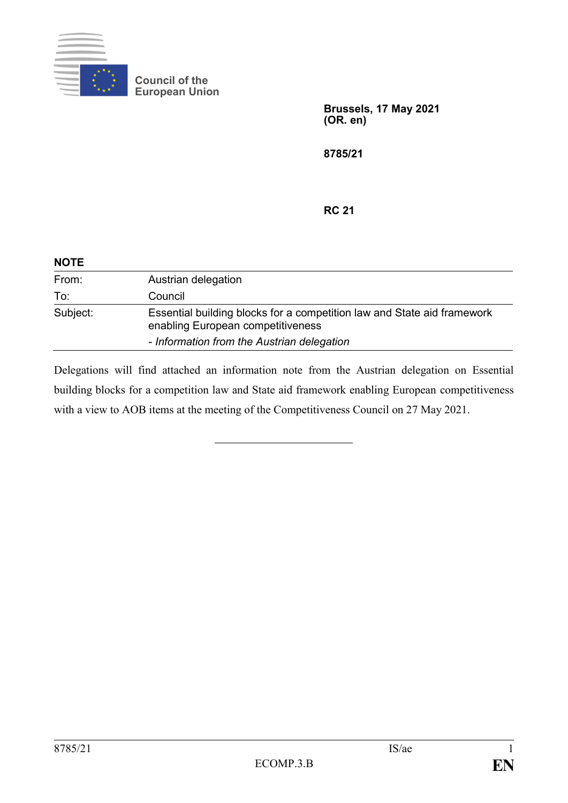

**Council of the European Union**

> **Brussels, 17 May 2021 (OR. en)**

**8785/21**

**RC 21**

| <b>NOTE</b> |                                                                                                              |
|-------------|--------------------------------------------------------------------------------------------------------------|
| From:       | Austrian delegation                                                                                          |
| To:         | Council                                                                                                      |
| Subject:    | Essential building blocks for a competition law and State aid framework<br>enabling European competitiveness |
|             | - Information from the Austrian delegation                                                                   |

Delegations will find attached an information note from the Austrian delegation on Essential building blocks for a competition law and State aid framework enabling European competitiveness with a view to AOB items at the meeting of the Competitiveness Council on 27 May 2021.